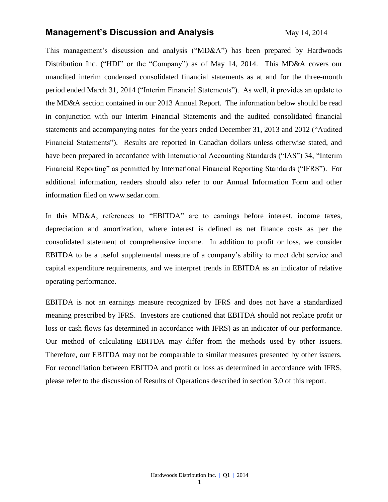## **Management's Discussion and Analysis** May 14, 2014

This management's discussion and analysis ("MD&A") has been prepared by Hardwoods Distribution Inc. ("HDI" or the "Company") as of May 14, 2014. This MD&A covers our unaudited interim condensed consolidated financial statements as at and for the three-month period ended March 31, 2014 ("Interim Financial Statements"). As well, it provides an update to the MD&A section contained in our 2013 Annual Report. The information below should be read in conjunction with our Interim Financial Statements and the audited consolidated financial statements and accompanying notes for the years ended December 31, 2013 and 2012 ("Audited Financial Statements"). Results are reported in Canadian dollars unless otherwise stated, and have been prepared in accordance with International Accounting Standards ("IAS") 34, "Interim Financial Reporting" as permitted by International Financial Reporting Standards ("IFRS"). For additional information, readers should also refer to our Annual Information Form and other information filed on [www.sedar.com.](http://www.sedar.com/)

In this MD&A, references to "EBITDA" are to earnings before interest, income taxes, depreciation and amortization, where interest is defined as net finance costs as per the consolidated statement of comprehensive income. In addition to profit or loss, we consider EBITDA to be a useful supplemental measure of a company's ability to meet debt service and capital expenditure requirements, and we interpret trends in EBITDA as an indicator of relative operating performance.

EBITDA is not an earnings measure recognized by IFRS and does not have a standardized meaning prescribed by IFRS. Investors are cautioned that EBITDA should not replace profit or loss or cash flows (as determined in accordance with IFRS) as an indicator of our performance. Our method of calculating EBITDA may differ from the methods used by other issuers. Therefore, our EBITDA may not be comparable to similar measures presented by other issuers. For reconciliation between EBITDA and profit or loss as determined in accordance with IFRS, please refer to the discussion of Results of Operations described in section 3.0 of this report.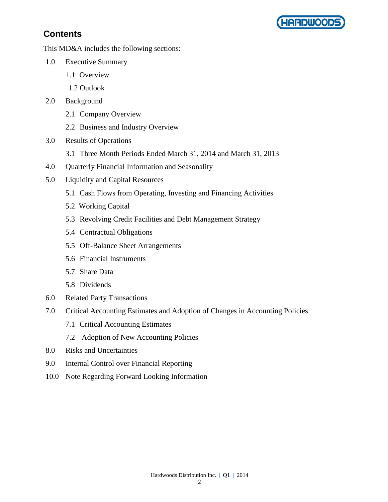

# **Contents**

This MD&A includes the following sections:

- 1.0 Executive Summary
	- 1.1 Overview
	- 1.2 Outlook
- 2.0 Background
	- 2.1 Company Overview
	- 2.2 Business and Industry Overview
- 3.0 Results of Operations
	- 3.1 Three Month Periods Ended March 31, 2014 and March 31, 2013
- 4.0 Quarterly Financial Information and Seasonality
- 5.0 Liquidity and Capital Resources
	- 5.1 Cash Flows from Operating, Investing and Financing Activities
	- 5.2 Working Capital
	- 5.3 Revolving Credit Facilities and Debt Management Strategy
	- 5.4 Contractual Obligations
	- 5.5 Off-Balance Sheet Arrangements
	- 5.6 Financial Instruments
	- 5.7 Share Data
	- 5.8 Dividends
- 6.0 Related Party Transactions
- 7.0 Critical Accounting Estimates and Adoption of Changes in Accounting Policies
	- 7.1 Critical Accounting Estimates
	- 7.2 Adoption of New Accounting Policies
- 8.0 Risks and Uncertainties
- 9.0 Internal Control over Financial Reporting
- 10.0 Note Regarding Forward Looking Information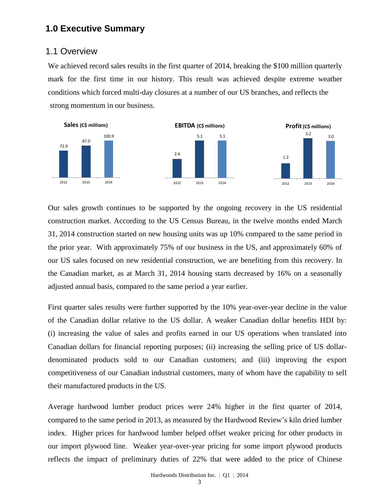### **1.0 Executive Summary**

#### 1.1 Overview

We achieved record sales results in the first quarter of 2014, breaking the \$100 million quarterly mark for the first time in our history. This result was achieved despite extreme weather conditions which forced multi-day closures at a number of our US branches, and reflects the strong momentum in our business.



Our sales growth continues to be supported by the ongoing recovery in the US residential construction market. According to the US Census Bureau, in the twelve months ended March 31, 2014 construction started on new housing units was up 10% compared to the same period in the prior year. With approximately 75% of our business in the US, and approximately 60% of our US sales focused on new residential construction, we are benefiting from this recovery. In the Canadian market, as at March 31, 2014 housing starts decreased by 16% on a seasonally adjusted annual basis, compared to the same period a year earlier.

First quarter sales results were further supported by the 10% year-over-year decline in the value of the Canadian dollar relative to the US dollar. A weaker Canadian dollar benefits HDI by: (i) increasing the value of sales and profits earned in our US operations when translated into Canadian dollars for financial reporting purposes; (ii) increasing the selling price of US dollardenominated products sold to our Canadian customers; and (iii) improving the export competitiveness of our Canadian industrial customers, many of whom have the capability to sell their manufactured products in the US.

Average hardwood lumber product prices were 24% higher in the first quarter of 2014, compared to the same period in 2013, as measured by the Hardwood Review's kiln dried lumber index. Higher prices for hardwood lumber helped offset weaker pricing for other products in our import plywood line. Weaker year-over-year pricing for some import plywood products reflects the impact of preliminary duties of 22% that were added to the price of Chinese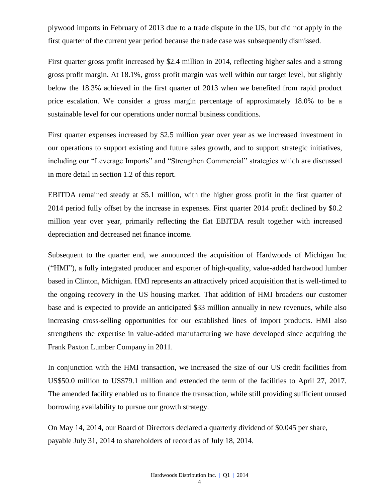plywood imports in February of 2013 due to a trade dispute in the US, but did not apply in the first quarter of the current year period because the trade case was subsequently dismissed.

First quarter gross profit increased by \$2.4 million in 2014, reflecting higher sales and a strong gross profit margin. At 18.1%, gross profit margin was well within our target level, but slightly below the 18.3% achieved in the first quarter of 2013 when we benefited from rapid product price escalation. We consider a gross margin percentage of approximately 18.0% to be a sustainable level for our operations under normal business conditions.

First quarter expenses increased by \$2.5 million year over year as we increased investment in our operations to support existing and future sales growth, and to support strategic initiatives, including our "Leverage Imports" and "Strengthen Commercial" strategies which are discussed in more detail in section 1.2 of this report.

EBITDA remained steady at \$5.1 million, with the higher gross profit in the first quarter of 2014 period fully offset by the increase in expenses. First quarter 2014 profit declined by \$0.2 million year over year, primarily reflecting the flat EBITDA result together with increased depreciation and decreased net finance income.

Subsequent to the quarter end, we announced the acquisition of Hardwoods of Michigan Inc ("HMI"), a fully integrated producer and exporter of high-quality, value-added hardwood lumber based in Clinton, Michigan. HMI represents an attractively priced acquisition that is well-timed to the ongoing recovery in the US housing market. That addition of HMI broadens our customer base and is expected to provide an anticipated \$33 million annually in new revenues, while also increasing cross-selling opportunities for our established lines of import products. HMI also strengthens the expertise in value-added manufacturing we have developed since acquiring the Frank Paxton Lumber Company in 2011.

In conjunction with the HMI transaction, we increased the size of our US credit facilities from US\$50.0 million to US\$79.1 million and extended the term of the facilities to April 27, 2017. The amended facility enabled us to finance the transaction, while still providing sufficient unused borrowing availability to pursue our growth strategy.

On May 14, 2014, our Board of Directors declared a quarterly dividend of \$0.045 per share, payable July 31, 2014 to shareholders of record as of July 18, 2014.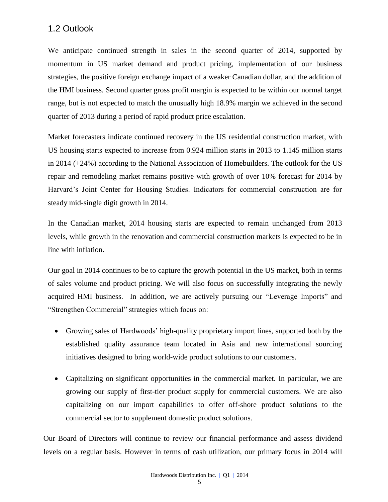# 1.2 Outlook

We anticipate continued strength in sales in the second quarter of 2014, supported by momentum in US market demand and product pricing, implementation of our business strategies, the positive foreign exchange impact of a weaker Canadian dollar, and the addition of the HMI business. Second quarter gross profit margin is expected to be within our normal target range, but is not expected to match the unusually high 18.9% margin we achieved in the second quarter of 2013 during a period of rapid product price escalation.

Market forecasters indicate continued recovery in the US residential construction market, with US housing starts expected to increase from 0.924 million starts in 2013 to 1.145 million starts in 2014 (+24%) according to the National Association of Homebuilders. The outlook for the US repair and remodeling market remains positive with growth of over 10% forecast for 2014 by Harvard's Joint Center for Housing Studies. Indicators for commercial construction are for steady mid-single digit growth in 2014.

In the Canadian market, 2014 housing starts are expected to remain unchanged from 2013 levels, while growth in the renovation and commercial construction markets is expected to be in line with inflation.

Our goal in 2014 continues to be to capture the growth potential in the US market, both in terms of sales volume and product pricing. We will also focus on successfully integrating the newly acquired HMI business. In addition, we are actively pursuing our "Leverage Imports" and "Strengthen Commercial" strategies which focus on:

- Growing sales of Hardwoods' high-quality proprietary import lines, supported both by the established quality assurance team located in Asia and new international sourcing initiatives designed to bring world-wide product solutions to our customers.
- Capitalizing on significant opportunities in the commercial market. In particular, we are growing our supply of first-tier product supply for commercial customers. We are also capitalizing on our import capabilities to offer off-shore product solutions to the commercial sector to supplement domestic product solutions.

Our Board of Directors will continue to review our financial performance and assess dividend levels on a regular basis. However in terms of cash utilization, our primary focus in 2014 will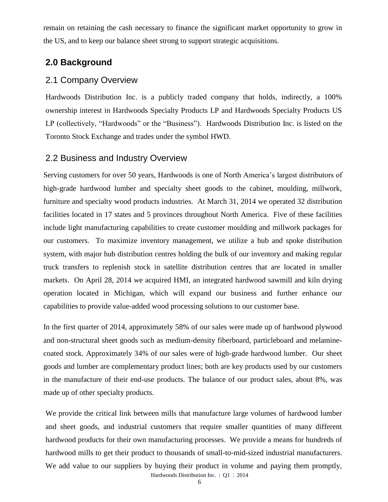remain on retaining the cash necessary to finance the significant market opportunity to grow in the US, and to keep our balance sheet strong to support strategic acquisitions.

## **2.0 Background**

#### 2.1 Company Overview

Hardwoods Distribution Inc. is a publicly traded company that holds, indirectly, a 100% ownership interest in Hardwoods Specialty Products LP and Hardwoods Specialty Products US LP (collectively, "Hardwoods" or the "Business"). Hardwoods Distribution Inc. is listed on the [Toronto Stock Exchange and trades under the symbol](http://tmx.quotemedia.com/quote.php?qm_symbol=TPK&locale=EN) HWD.

### 2.2 Business and Industry Overview

Serving customers for over 50 years, Hardwoods is one of North America's largest distributors of high-grade hardwood lumber and specialty sheet goods to the cabinet, moulding, millwork, furniture and specialty wood products industries. At March 31, 2014 we operated 32 distribution facilities located in 17 states and 5 provinces throughout North America. Five of these facilities include light manufacturing capabilities to create customer moulding and millwork packages for our customers. To maximize inventory management, we utilize a hub and spoke distribution system, with major hub distribution centres holding the bulk of our inventory and making regular truck transfers to replenish stock in satellite distribution centres that are located in smaller markets. On April 28, 2014 we acquired HMI, an integrated hardwood sawmill and kiln drying operation located in Michigan, which will expand our business and further enhance our capabilities to provide value-added wood processing solutions to our customer base.

In the first quarter of 2014, approximately 58% of our sales were made up of hardwood plywood and non-structural sheet goods such as medium-density fiberboard, particleboard and melaminecoated stock. Approximately 34% of our sales were of high-grade hardwood lumber. Our sheet goods and lumber are complementary product lines; both are key products used by our customers in the manufacture of their end-use products. The balance of our product sales, about 8%, was made up of other specialty products.

Hardwoods Distribution Inc. | Q1 | 2014 We provide the critical link between mills that manufacture large volumes of hardwood lumber and sheet goods, and industrial customers that require smaller quantities of many different hardwood products for their own manufacturing processes. We provide a means for hundreds of hardwood mills to get their product to thousands of small-to-mid-sized industrial manufacturers. We add value to our suppliers by buying their product in volume and paying them promptly,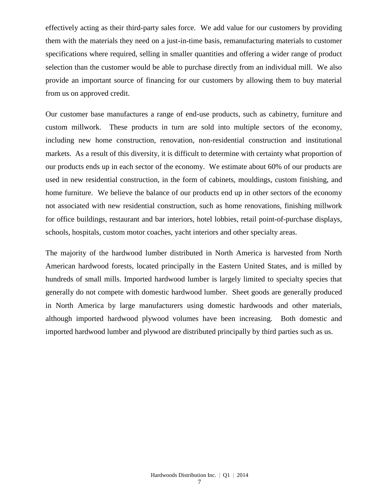effectively acting as their third-party sales force. We add value for our customers by providing them with the materials they need on a just-in-time basis, remanufacturing materials to customer specifications where required, selling in smaller quantities and offering a wider range of product selection than the customer would be able to purchase directly from an individual mill. We also provide an important source of financing for our customers by allowing them to buy material from us on approved credit.

Our customer base manufactures a range of end-use products, such as cabinetry, furniture and custom millwork. These products in turn are sold into multiple sectors of the economy, including new home construction, renovation, non-residential construction and institutional markets. As a result of this diversity, it is difficult to determine with certainty what proportion of our products ends up in each sector of the economy. We estimate about 60% of our products are used in new residential construction, in the form of cabinets, mouldings, custom finishing, and home furniture. We believe the balance of our products end up in other sectors of the economy not associated with new residential construction, such as home renovations, finishing millwork for office buildings, restaurant and bar interiors, hotel lobbies, retail point-of-purchase displays, schools, hospitals, custom motor coaches, yacht interiors and other specialty areas.

The majority of the hardwood lumber distributed in North America is harvested from North American hardwood forests, located principally in the Eastern United States, and is milled by hundreds of small mills. Imported hardwood lumber is largely limited to specialty species that generally do not compete with domestic hardwood lumber. Sheet goods are generally produced in North America by large manufacturers using domestic hardwoods and other materials, although imported hardwood plywood volumes have been increasing. Both domestic and imported hardwood lumber and plywood are distributed principally by third parties such as us.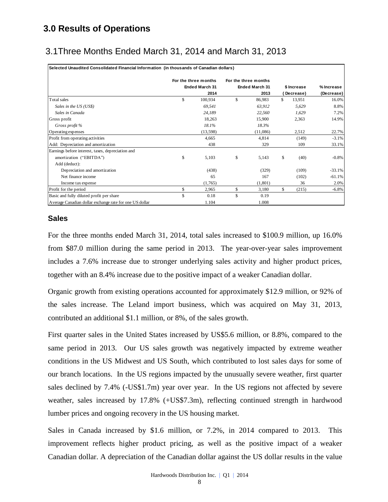# **3.0 Results of Operations**

# 3.1Three Months Ended March 31, 2014 and March 31, 2013

|                                                                                                   | For the three months |                       | For the three months |                |     |                      |                     |
|---------------------------------------------------------------------------------------------------|----------------------|-----------------------|----------------------|----------------|-----|----------------------|---------------------|
|                                                                                                   |                      | <b>Ended March 31</b> |                      | Ended March 31 |     | \$ Increase          | % Increase          |
| Total sales                                                                                       | $\mathbb{S}$         | 2014<br>100,934       | $\mathbb{S}$         | 2013<br>86,983 | \$. | (Decrease)<br>13,951 | (Decrease)<br>16.0% |
| Sales in the US (US\$)                                                                            |                      | 69,541                |                      | 63,912         |     | 5,629                | 8.8%                |
| Sales in Canada                                                                                   |                      | 24,189                |                      | 22,560         |     | 1,629                | 7.2%                |
| Gross profit                                                                                      |                      | 18,263                |                      | 15,900         |     | 2,363                | 14.9%               |
| Gross profit %                                                                                    |                      | 18.1%                 |                      | 18.3%          |     |                      |                     |
| Operating expenses                                                                                |                      | (13, 598)             |                      | (11,086)       |     | 2,512                | 22.7%               |
| Profit from operating activities                                                                  |                      | 4,665                 |                      | 4,814          |     | (149)                | $-3.1%$             |
| Add: Depreciation and amortization                                                                |                      | 438                   |                      | 329            |     | 109                  | 33.1%               |
| Earnings before interest, taxes, depreciation and<br>amortization ("EBITDA")                      | \$                   | 5,103                 | \$                   | 5,143          | \$  | (40)                 | $-0.8%$             |
| Add (deduct):                                                                                     |                      |                       |                      |                |     |                      |                     |
| Depreciation and amortization                                                                     |                      | (438)                 |                      | (329)          |     | (109)                | $-33.1%$            |
| Net finance income                                                                                |                      | 65                    |                      | 167            |     | (102)                | $-61.1%$            |
| Income tax expense                                                                                |                      | (1,765)               |                      | (1,801)        |     | 36                   | 2.0%                |
| Profit for the period                                                                             | \$                   | 2,965                 | \$                   | 3,180          | \$  | (215)                | $-6.8%$             |
| Basic and fully diluted profit per share                                                          | $\mathbf S$          | 0.18                  | \$                   | 0.19           |     |                      |                     |
| Average Canadian dollar exchange rate for one US dollar                                           |                      | 1.104                 |                      | 1.008          |     |                      |                     |
| from \$87.0 million during the same period in 2013. The year-over-year sales improvement          |                      |                       |                      |                |     |                      |                     |
| includes a 7.6% increase due to stronger underlying sales activity and higher product prices,     |                      |                       |                      |                |     |                      |                     |
|                                                                                                   |                      |                       |                      |                |     |                      |                     |
| together with an 8.4% increase due to the positive impact of a weaker Canadian dollar.            |                      |                       |                      |                |     |                      |                     |
| Organic growth from existing operations accounted for approximately \$12.9 million, or 92% of     |                      |                       |                      |                |     |                      |                     |
| the sales increase. The Leland import business, which was acquired on May 31, 2013,               |                      |                       |                      |                |     |                      |                     |
| contributed an additional \$1.1 million, or 8%, of the sales growth.                              |                      |                       |                      |                |     |                      |                     |
| First quarter sales in the United States increased by US\$5.6 million, or 8.8%, compared to the   |                      |                       |                      |                |     |                      |                     |
|                                                                                                   |                      |                       |                      |                |     |                      |                     |
| same period in 2013. Our US sales growth was negatively impacted by extreme weather               |                      |                       |                      |                |     |                      |                     |
| conditions in the US Midwest and US South, which contributed to lost sales days for some of       |                      |                       |                      |                |     |                      |                     |
| our branch locations. In the US regions impacted by the unusually severe weather, first quarter   |                      |                       |                      |                |     |                      |                     |
| sales declined by 7.4% (-US\$1.7m) year over year. In the US regions not affected by severe       |                      |                       |                      |                |     |                      |                     |
| weather, sales increased by 17.8% (+US\$7.3m), reflecting continued strength in hardwood          |                      |                       |                      |                |     |                      |                     |
| lumber prices and ongoing recovery in the US housing market.                                      |                      |                       |                      |                |     |                      |                     |
| Sales in Canada increased by \$1.6 million, or 7.2%, in 2014 compared to 2013.                    |                      |                       |                      |                |     |                      | This                |
| improvement reflects higher product pricing, as well as the positive impact of a weaker           |                      |                       |                      |                |     |                      |                     |
| Canadian dollar. A depreciation of the Canadian dollar against the US dollar results in the value |                      |                       |                      |                |     |                      |                     |
|                                                                                                   |                      |                       |                      |                |     |                      |                     |

#### **Sales**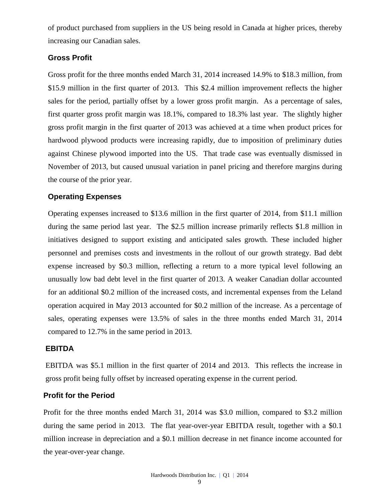of product purchased from suppliers in the US being resold in Canada at higher prices, thereby increasing our Canadian sales.

#### **Gross Profit**

Gross profit for the three months ended March 31, 2014 increased 14.9% to \$18.3 million, from \$15.9 million in the first quarter of 2013. This \$2.4 million improvement reflects the higher sales for the period, partially offset by a lower gross profit margin. As a percentage of sales, first quarter gross profit margin was 18.1%, compared to 18.3% last year. The slightly higher gross profit margin in the first quarter of 2013 was achieved at a time when product prices for hardwood plywood products were increasing rapidly, due to imposition of preliminary duties against Chinese plywood imported into the US. That trade case was eventually dismissed in November of 2013, but caused unusual variation in panel pricing and therefore margins during the course of the prior year.

#### **Operating Expenses**

Operating expenses increased to \$13.6 million in the first quarter of 2014, from \$11.1 million during the same period last year. The \$2.5 million increase primarily reflects \$1.8 million in initiatives designed to support existing and anticipated sales growth. These included higher personnel and premises costs and investments in the rollout of our growth strategy. Bad debt expense increased by \$0.3 million, reflecting a return to a more typical level following an unusually low bad debt level in the first quarter of 2013. A weaker Canadian dollar accounted for an additional \$0.2 million of the increased costs, and incremental expenses from the Leland operation acquired in May 2013 accounted for \$0.2 million of the increase. As a percentage of sales, operating expenses were 13.5% of sales in the three months ended March 31, 2014 compared to 12.7% in the same period in 2013.

#### **EBITDA**

EBITDA was \$5.1 million in the first quarter of 2014 and 2013. This reflects the increase in gross profit being fully offset by increased operating expense in the current period.

#### **Profit for the Period**

Profit for the three months ended March 31, 2014 was \$3.0 million, compared to \$3.2 million during the same period in 2013. The flat year-over-year EBITDA result, together with a \$0.1 million increase in depreciation and a \$0.1 million decrease in net finance income accounted for the year-over-year change.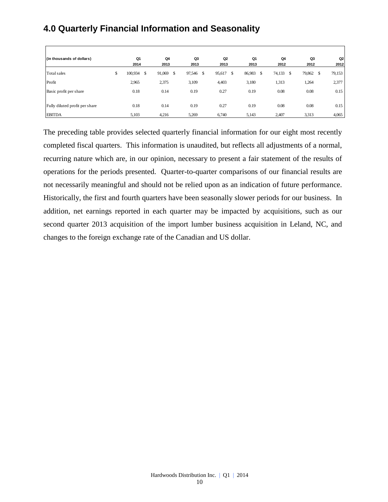# **4.0 Quarterly Financial Information and Seasonality**

| (in thousands of dollars)      | Q1            | Q4           | Q <sub>3</sub> |    | Q <sub>2</sub> | Q1     | Q4           | Q3           | Q <sub>2</sub> |
|--------------------------------|---------------|--------------|----------------|----|----------------|--------|--------------|--------------|----------------|
|                                | 2014          | 2013         | 2013           |    | 2013           | 2013   | 2012         | 2012         | 2012           |
| Total sales                    | \$<br>100,934 | \$<br>91,069 | \$<br>97,546   | -S | 95,617 \$      | 86,983 | \$<br>74,133 | \$<br>79,862 | 79,153<br>\$   |
| Profit                         | 2,965         | 2,375        | 3,109          |    | 4,403          | 3,180  | 1,313        | 1,264        | 2,377          |
| Basic profit per share         | 0.18          | 0.14         | 0.19           |    | 0.27           | 0.19   | 0.08         | 0.08         | 0.15           |
|                                |               |              |                |    |                |        |              |              |                |
| Fully diluted profit per share | 0.18          | 0.14         | 0.19           |    | 0.27           | 0.19   | 0.08         | 0.08         | 0.15           |
| <b>EBITDA</b>                  | 5,103         | 4,216        | 5,269          |    | 6,740          | 5,143  | 2,407        | 3,313        | 4,065          |

The preceding table provides selected quarterly financial information for our eight most recently completed fiscal quarters. This information is unaudited, but reflects all adjustments of a normal, recurring nature which are, in our opinion, necessary to present a fair statement of the results of operations for the periods presented. Quarter-to-quarter comparisons of our financial results are not necessarily meaningful and should not be relied upon as an indication of future performance. Historically, the first and fourth quarters have been seasonally slower periods for our business. In addition, net earnings reported in each quarter may be impacted by acquisitions, such as our second quarter 2013 acquisition of the import lumber business acquisition in Leland, NC, and changes to the foreign exchange rate of the Canadian and US dollar.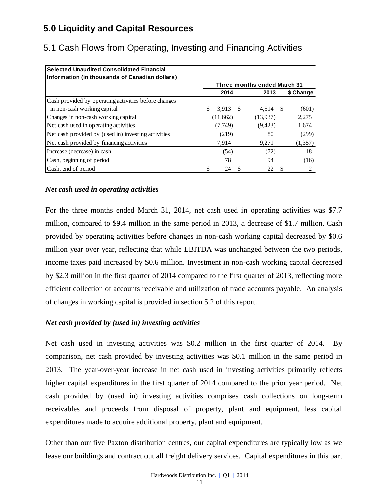# **5.0 Liquidity and Capital Resources**

| <b>Selected Unaudited Consolidated Financial</b><br>Information (in thousands of Canadian dollars) |                             |          |           |  |  |  |
|----------------------------------------------------------------------------------------------------|-----------------------------|----------|-----------|--|--|--|
|                                                                                                    | Three months ended March 31 |          |           |  |  |  |
|                                                                                                    | 2014                        | 2013     | \$ Change |  |  |  |
| Cash provided by operating activities before changes                                               |                             |          |           |  |  |  |
| in non-cash working capital                                                                        | 3.913<br>- \$               | 4,514 \$ | (601)     |  |  |  |
| Changes in non-cash working capital                                                                | (11,662)                    | (13,937) | 2,275     |  |  |  |
| Net cash used in operating activities                                                              | (7,749)                     | (9, 423) | 1,674     |  |  |  |
| Net cash provided by (used in) investing activities                                                | (219)                       | 80       | (299)     |  |  |  |
| Net cash provided by financing activities                                                          | 7,914                       | 9,271    | (1,357)   |  |  |  |
| Increase (decrease) in cash                                                                        | (54)                        | (72)     | 18        |  |  |  |
| Cash, beginning of period                                                                          | 78                          | 94       | (16)      |  |  |  |
| Cash, end of period                                                                                | 24                          | 22       | 2         |  |  |  |

# 5.1 Cash Flows from Operating, Investing and Financing Activities

#### *Net cash used in operating activities*

For the three months ended March 31, 2014, net cash used in operating activities was \$7.7 million, compared to \$9.4 million in the same period in 2013, a decrease of \$1.7 million. Cash provided by operating activities before changes in non-cash working capital decreased by \$0.6 million year over year, reflecting that while EBITDA was unchanged between the two periods, income taxes paid increased by \$0.6 million. Investment in non-cash working capital decreased by \$2.3 million in the first quarter of 2014 compared to the first quarter of 2013, reflecting more efficient collection of accounts receivable and utilization of trade accounts payable. An analysis of changes in working capital is provided in section 5.2 of this report. **Selected Unaudited Consolidated Financial Freight delivery services.** Capital services and provider our building and contract out all freight delivery services. Capital expenditures in this part of the material of the se

#### *Net cash provided by (used in) investing activities*

Net cash used in investing activities was \$0.2 million in the first quarter of 2014. By comparison, net cash provided by investing activities was \$0.1 million in the same period in 2013. The year-over-year increase in net cash used in investing activities primarily reflects higher capital expenditures in the first quarter of 2014 compared to the prior year period. Net cash provided by (used in) investing activities comprises cash collections on long-term receivables and proceeds from disposal of property, plant and equipment, less capital expenditures made to acquire additional property, plant and equipment.

Other than our five Paxton distribution centres, our capital expenditures are typically low as we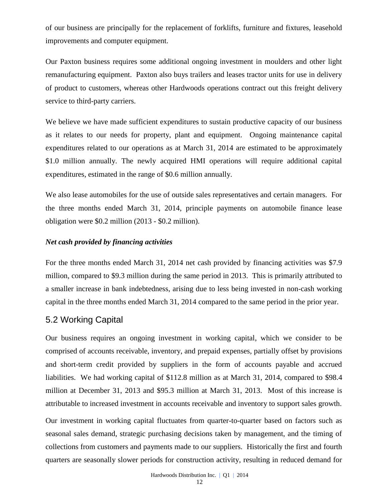of our business are principally for the replacement of forklifts, furniture and fixtures, leasehold improvements and computer equipment.

Our Paxton business requires some additional ongoing investment in moulders and other light remanufacturing equipment. Paxton also buys trailers and leases tractor units for use in delivery of product to customers, whereas other Hardwoods operations contract out this freight delivery service to third-party carriers.

We believe we have made sufficient expenditures to sustain productive capacity of our business as it relates to our needs for property, plant and equipment. Ongoing maintenance capital expenditures related to our operations as at March 31, 2014 are estimated to be approximately \$1.0 million annually. The newly acquired HMI operations will require additional capital expenditures, estimated in the range of \$0.6 million annually.

We also lease automobiles for the use of outside sales representatives and certain managers. For the three months ended March 31, 2014, principle payments on automobile finance lease obligation were \$0.2 million (2013 - \$0.2 million).

#### *Net cash provided by financing activities*

For the three months ended March 31, 2014 net cash provided by financing activities was \$7.9 million, compared to \$9.3 million during the same period in 2013. This is primarily attributed to a smaller increase in bank indebtedness, arising due to less being invested in non-cash working capital in the three months ended March 31, 2014 compared to the same period in the prior year.

# 5.2 Working Capital

Our business requires an ongoing investment in working capital, which we consider to be comprised of accounts receivable, inventory, and prepaid expenses, partially offset by provisions and short-term credit provided by suppliers in the form of accounts payable and accrued liabilities. We had working capital of \$112.8 million as at March 31, 2014, compared to \$98.4 million at December 31, 2013 and \$95.3 million at March 31, 2013. Most of this increase is attributable to increased investment in accounts receivable and inventory to support sales growth.

Our investment in working capital fluctuates from quarter-to-quarter based on factors such as seasonal sales demand, strategic purchasing decisions taken by management, and the timing of collections from customers and payments made to our suppliers. Historically the first and fourth quarters are seasonally slower periods for construction activity, resulting in reduced demand for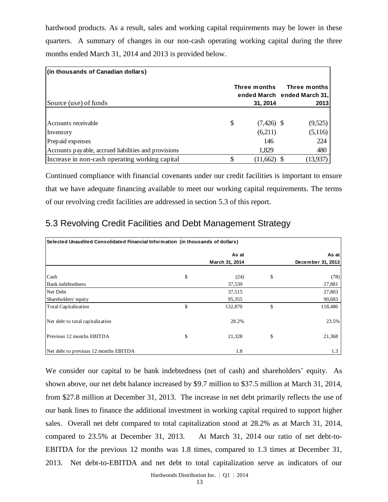hardwood products. As a result, sales and working capital requirements may be lower in these quarters. A summary of changes in our non-cash operating working capital during the three months ended March 31, 2014 and 2013 is provided below.

| (in thousands of Canadian dollars)                   |    |               |                                             |  |  |  |  |  |
|------------------------------------------------------|----|---------------|---------------------------------------------|--|--|--|--|--|
|                                                      |    | Three months  | Three months<br>ended March ended March 31, |  |  |  |  |  |
| Source (use) of funds                                |    | 31, 2014      | 2013                                        |  |  |  |  |  |
|                                                      |    |               |                                             |  |  |  |  |  |
| Accounts receivable                                  | \$ | $(7,426)$ \$  | (9,525)                                     |  |  |  |  |  |
| Inventory                                            |    | (6,211)       | (5,116)                                     |  |  |  |  |  |
| Prepaid expenses                                     |    | 146           | 224                                         |  |  |  |  |  |
| Accounts payable, accrued liabilities and provisions |    | 1,829         | 480                                         |  |  |  |  |  |
| Increase in non-cash operating working capital       |    | $(11,662)$ \$ | (13,937)                                    |  |  |  |  |  |

Continued compliance with financial covenants under our credit facilities is important to ensure that we have adequate financing available to meet our working capital requirements. The terms of our revolving credit facilities are addressed in section 5.3 of this report.

# 5.3 Revolving Credit Facilities and Debt Management Strategy

| Selected Unaudited Consolidated Financial Information (in thousands of dollars) |    |                |    |                   |  |  |  |
|---------------------------------------------------------------------------------|----|----------------|----|-------------------|--|--|--|
|                                                                                 |    | As at          |    | As at             |  |  |  |
|                                                                                 |    | March 31, 2014 |    | December 31, 2013 |  |  |  |
| Cash                                                                            | \$ | (24)           | \$ | (78)              |  |  |  |
| <b>Bank</b> indebtedness                                                        |    | 37,539         |    | 27,881            |  |  |  |
| Net Debt                                                                        |    | 37,515         |    | 27,803            |  |  |  |
| Shareholders' equity                                                            |    | 95,355         |    | 90,683            |  |  |  |
| <b>Total Capitalization</b>                                                     | \$ | 132,870        | \$ | 118,486           |  |  |  |
| Net debt to total capitalization                                                |    | 28.2%          |    | 23.5%             |  |  |  |
| Previous 12 months EBITDA                                                       | \$ | 21,328         | \$ | 21,368            |  |  |  |
| Net debt to previous 12 months EBITDA                                           |    | 1.8            |    | 1.3               |  |  |  |

We consider our capital to be bank indebtedness (net of cash) and shareholders' equity. As shown above, our net debt balance increased by \$9.7 million to \$37.5 million at March 31, 2014, from \$27.8 million at December 31, 2013. The increase in net debt primarily reflects the use of our bank lines to finance the additional investment in working capital required to support higher sales. Overall net debt compared to total capitalization stood at 28.2% as at March 31, 2014, compared to 23.5% at December 31, 2013. At March 31, 2014 our ratio of net debt-to-EBITDA for the previous 12 months was 1.8 times, compared to 1.3 times at December 31, 2013. Net debt-to-EBITDA and net debt to total capitalization serve as indicators of our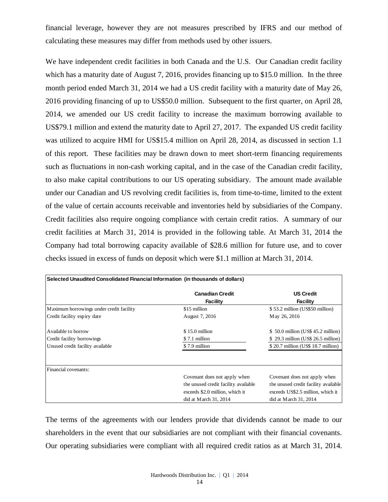financial leverage, however they are not measures prescribed by IFRS and our method of calculating these measures may differ from methods used by other issuers.

We have independent credit facilities in both Canada and the U.S. Our Canadian credit facility which has a maturity date of August 7, 2016, provides financing up to \$15.0 million. In the three month period ended March 31, 2014 we had a US credit facility with a maturity date of May 26, 2016 providing financing of up to US\$50.0 million. Subsequent to the first quarter, on April 28, 2014, we amended our US credit facility to increase the maximum borrowing available to US\$79.1 million and extend the maturity date to April 27, 2017. The expanded US credit facility was utilized to acquire HMI for US\$15.4 million on April 28, 2014, as discussed in section 1.1 of this report. These facilities may be drawn down to meet short-term financing requirements such as fluctuations in non-cash working capital, and in the case of the Canadian credit facility, to also make capital contributions to our US operating subsidiary. The amount made available under our Canadian and US revolving credit facilities is, from time-to-time, limited to the extent of the value of certain accounts receivable and inventories held by subsidiaries of the Company. Credit facilities also require ongoing compliance with certain credit ratios. A summary of our credit facilities at March 31, 2014 is provided in the following table. At March 31, 2014 the Company had total borrowing capacity available of \$28.6 million for future use, and to cover checks issued in excess of funds on deposit which were \$1.1 million at March 31, 2014.

| Selected Unaudited Consolidated Financial Information (in thousands of dollars) |                                      |                                      |
|---------------------------------------------------------------------------------|--------------------------------------|--------------------------------------|
|                                                                                 | <b>Canadian Credit</b>               | <b>US Credit</b>                     |
|                                                                                 | <b>Facility</b>                      | <b>Facility</b>                      |
| Maximum borrowings under credit facility                                        | \$15 million                         | \$53.2 million (US\$50 million)      |
| Credit facility expiry date                                                     | August 7, 2016                       | May 26, 2016                         |
| Available to borrow                                                             | \$15.0 million                       | $$50.0$ million (US\$ 45.2 million)  |
| Credit facility borrowings                                                      | \$7.1 million                        | \$29.3 million (US\$26.5 million)    |
| Unused credit facility available                                                | \$7.9 million                        | \$20.7 million (US\$ 18.7 million)   |
|                                                                                 |                                      |                                      |
| Financial covenants:                                                            |                                      |                                      |
|                                                                                 | Covenant does not apply when         | Covenant does not apply when         |
|                                                                                 | the unused credit facility available | the unused credit facility available |
|                                                                                 | exceeds \$2.0 million, which it      | exceeds US\$2.5 million, which it    |
|                                                                                 | did at March $31, 2014$              | did at March $31, 2014$              |

The terms of the agreements with our lenders provide that dividends cannot be made to our shareholders in the event that our subsidiaries are not compliant with their financial covenants. Our operating subsidiaries were compliant with all required credit ratios as at March 31, 2014.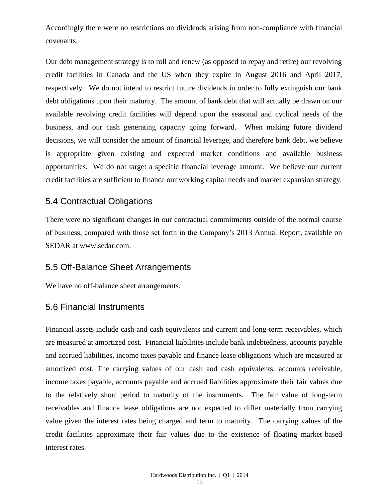Accordingly there were no restrictions on dividends arising from non-compliance with financial covenants.

Our debt management strategy is to roll and renew (as opposed to repay and retire) our revolving credit facilities in Canada and the US when they expire in August 2016 and April 2017, respectively. We do not intend to restrict future dividends in order to fully extinguish our bank debt obligations upon their maturity. The amount of bank debt that will actually be drawn on our available revolving credit facilities will depend upon the seasonal and cyclical needs of the business, and our cash generating capacity going forward. When making future dividend decisions, we will consider the amount of financial leverage, and therefore bank debt, we believe is appropriate given existing and expected market conditions and available business opportunities. We do not target a specific financial leverage amount. We believe our current credit facilities are sufficient to finance our working capital needs and market expansion strategy.

### 5.4 Contractual Obligations

There were no significant changes in our contractual commitments outside of the normal course of business, compared with those set forth in the Company's 2013 Annual Report, available on SEDAR at www.sedar.com.

### 5.5 Off-Balance Sheet Arrangements

We have no off-balance sheet arrangements.

# 5.6 Financial Instruments

Financial assets include cash and cash equivalents and current and long-term receivables, which are measured at amortized cost. Financial liabilities include bank indebtedness, accounts payable and accrued liabilities, income taxes payable and finance lease obligations which are measured at amortized cost. The carrying values of our cash and cash equivalents, accounts receivable, income taxes payable, accounts payable and accrued liabilities approximate their fair values due to the relatively short period to maturity of the instruments. The fair value of long-term receivables and finance lease obligations are not expected to differ materially from carrying value given the interest rates being charged and term to maturity. The carrying values of the credit facilities approximate their fair values due to the existence of floating market-based interest rates.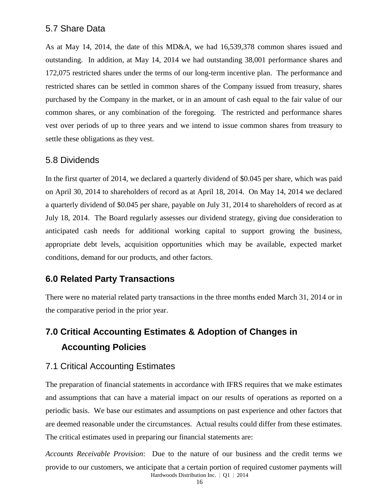### 5.7 Share Data

As at May 14, 2014, the date of this MD&A, we had 16,539,378 common shares issued and outstanding. In addition, at May 14, 2014 we had outstanding 38,001 performance shares and 172,075 restricted shares under the terms of our long-term incentive plan. The performance and restricted shares can be settled in common shares of the Company issued from treasury, shares purchased by the Company in the market, or in an amount of cash equal to the fair value of our common shares, or any combination of the foregoing. The restricted and performance shares vest over periods of up to three years and we intend to issue common shares from treasury to settle these obligations as they vest.

#### 5.8 Dividends

In the first quarter of 2014, we declared a quarterly dividend of \$0.045 per share, which was paid on April 30, 2014 to shareholders of record as at April 18, 2014. On May 14, 2014 we declared a quarterly dividend of \$0.045 per share, payable on July 31, 2014 to shareholders of record as at July 18, 2014. The Board regularly assesses our dividend strategy, giving due consideration to anticipated cash needs for additional working capital to support growing the business, appropriate debt levels, acquisition opportunities which may be available, expected market conditions, demand for our products, and other factors.

# **6.0 Related Party Transactions**

There were no material related party transactions in the three months ended March 31, 2014 or in the comparative period in the prior year.

# **7.0 Critical Accounting Estimates & Adoption of Changes in Accounting Policies**

#### 7.1 Critical Accounting Estimates

The preparation of financial statements in accordance with IFRS requires that we make estimates and assumptions that can have a material impact on our results of operations as reported on a periodic basis. We base our estimates and assumptions on past experience and other factors that are deemed reasonable under the circumstances. Actual results could differ from these estimates. The critical estimates used in preparing our financial statements are:

Hardwoods Distribution Inc. | Q1 | 2014 *Accounts Receivable Provision*: Due to the nature of our business and the credit terms we provide to our customers, we anticipate that a certain portion of required customer payments will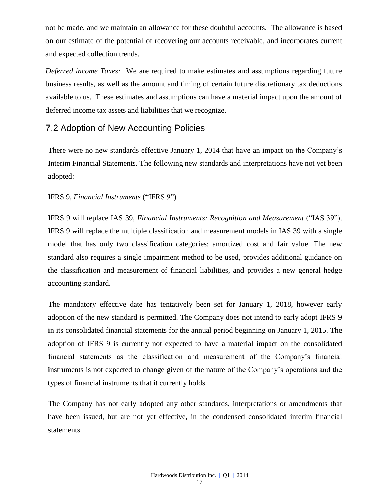not be made, and we maintain an allowance for these doubtful accounts. The allowance is based on our estimate of the potential of recovering our accounts receivable, and incorporates current and expected collection trends.

*Deferred income Taxes:* We are required to make estimates and assumptions regarding future business results, as well as the amount and timing of certain future discretionary tax deductions available to us. These estimates and assumptions can have a material impact upon the amount of deferred income tax assets and liabilities that we recognize.

### 7.2 Adoption of New Accounting Policies

There were no new standards effective January 1, 2014 that have an impact on the Company's Interim Financial Statements. The following new standards and interpretations have not yet been adopted:

#### IFRS 9, *Financial Instruments* ("IFRS 9")

IFRS 9 will replace IAS 39, *Financial Instruments: Recognition and Measurement* ("IAS 39"). IFRS 9 will replace the multiple classification and measurement models in IAS 39 with a single model that has only two classification categories: amortized cost and fair value. The new standard also requires a single impairment method to be used, provides additional guidance on the classification and measurement of financial liabilities, and provides a new general hedge accounting standard.

The mandatory effective date has tentatively been set for January 1, 2018, however early adoption of the new standard is permitted. The Company does not intend to early adopt IFRS 9 in its consolidated financial statements for the annual period beginning on January 1, 2015. The adoption of IFRS 9 is currently not expected to have a material impact on the consolidated financial statements as the classification and measurement of the Company's financial instruments is not expected to change given of the nature of the Company's operations and the types of financial instruments that it currently holds.

The Company has not early adopted any other standards, interpretations or amendments that have been issued, but are not yet effective, in the condensed consolidated interim financial statements.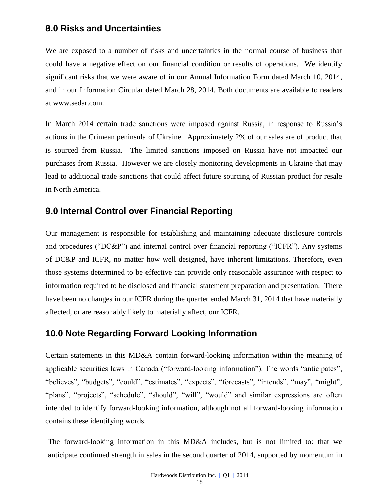# **8.0 Risks and Uncertainties**

We are exposed to a number of risks and uncertainties in the normal course of business that could have a negative effect on our financial condition or results of operations. We identify significant risks that we were aware of in our Annual Information Form dated March 10, 2014, and in our Information Circular dated March 28, 2014. Both documents are available to readers at [www.sedar.com.](http://www.sedar.com/)

In March 2014 certain trade sanctions were imposed against Russia, in response to Russia's actions in the Crimean peninsula of Ukraine. Approximately 2% of our sales are of product that is sourced from Russia. The limited sanctions imposed on Russia have not impacted our purchases from Russia. However we are closely monitoring developments in Ukraine that may lead to additional trade sanctions that could affect future sourcing of Russian product for resale in North America.

# **9.0 Internal Control over Financial Reporting**

Our management is responsible for establishing and maintaining adequate disclosure controls and procedures ("DC&P") and internal control over financial reporting ("ICFR"). Any systems of DC&P and ICFR, no matter how well designed, have inherent limitations. Therefore, even those systems determined to be effective can provide only reasonable assurance with respect to information required to be disclosed and financial statement preparation and presentation. There have been no changes in our ICFR during the quarter ended March 31, 2014 that have materially affected, or are reasonably likely to materially affect, our ICFR.

# **10.0 Note Regarding Forward Looking Information**

Certain statements in this MD&A contain forward-looking information within the meaning of applicable securities laws in Canada ("forward-looking information"). The words "anticipates", "believes", "budgets", "could", "estimates", "expects", "forecasts", "intends", "may", "might", "plans", "projects", "schedule", "should", "will", "would" and similar expressions are often intended to identify forward-looking information, although not all forward-looking information contains these identifying words.

The forward-looking information in this MD&A includes, but is not limited to: that we anticipate continued strength in sales in the second quarter of 2014, supported by momentum in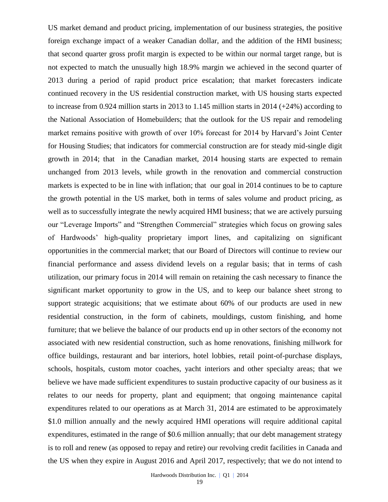US market demand and product pricing, implementation of our business strategies, the positive foreign exchange impact of a weaker Canadian dollar, and the addition of the HMI business; that second quarter gross profit margin is expected to be within our normal target range, but is not expected to match the unusually high 18.9% margin we achieved in the second quarter of 2013 during a period of rapid product price escalation; that market forecasters indicate continued recovery in the US residential construction market, with US housing starts expected to increase from 0.924 million starts in 2013 to 1.145 million starts in 2014 (+24%) according to the National Association of Homebuilders; that the outlook for the US repair and remodeling market remains positive with growth of over 10% forecast for 2014 by Harvard's Joint Center for Housing Studies; that indicators for commercial construction are for steady mid-single digit growth in 2014; that in the Canadian market, 2014 housing starts are expected to remain unchanged from 2013 levels, while growth in the renovation and commercial construction markets is expected to be in line with inflation; that our goal in 2014 continues to be to capture the growth potential in the US market, both in terms of sales volume and product pricing, as well as to successfully integrate the newly acquired HMI business; that we are actively pursuing our "Leverage Imports" and "Strengthen Commercial" strategies which focus on growing sales of Hardwoods' high-quality proprietary import lines, and capitalizing on significant opportunities in the commercial market; that our Board of Directors will continue to review our financial performance and assess dividend levels on a regular basis; that in terms of cash utilization, our primary focus in 2014 will remain on retaining the cash necessary to finance the significant market opportunity to grow in the US, and to keep our balance sheet strong to support strategic acquisitions; that we estimate about 60% of our products are used in new residential construction, in the form of cabinets, mouldings, custom finishing, and home furniture; that we believe the balance of our products end up in other sectors of the economy not associated with new residential construction, such as home renovations, finishing millwork for office buildings, restaurant and bar interiors, hotel lobbies, retail point-of-purchase displays, schools, hospitals, custom motor coaches, yacht interiors and other specialty areas; that we believe we have made sufficient expenditures to sustain productive capacity of our business as it relates to our needs for property, plant and equipment; that ongoing maintenance capital expenditures related to our operations as at March 31, 2014 are estimated to be approximately \$1.0 million annually and the newly acquired HMI operations will require additional capital expenditures, estimated in the range of \$0.6 million annually; that our debt management strategy is to roll and renew (as opposed to repay and retire) our revolving credit facilities in Canada and the US when they expire in August 2016 and April 2017, respectively; that we do not intend to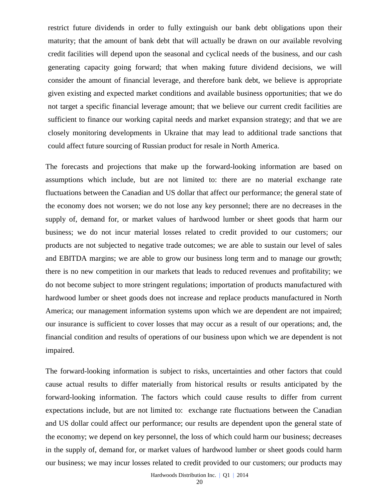restrict future dividends in order to fully extinguish our bank debt obligations upon their maturity; that the amount of bank debt that will actually be drawn on our available revolving credit facilities will depend upon the seasonal and cyclical needs of the business, and our cash generating capacity going forward; that when making future dividend decisions, we will consider the amount of financial leverage, and therefore bank debt, we believe is appropriate given existing and expected market conditions and available business opportunities; that we do not target a specific financial leverage amount; that we believe our current credit facilities are sufficient to finance our working capital needs and market expansion strategy; and that we are closely monitoring developments in Ukraine that may lead to additional trade sanctions that could affect future sourcing of Russian product for resale in North America.

The forecasts and projections that make up the forward-looking information are based on assumptions which include, but are not limited to: there are no material exchange rate fluctuations between the Canadian and US dollar that affect our performance; the general state of the economy does not worsen; we do not lose any key personnel; there are no decreases in the supply of, demand for, or market values of hardwood lumber or sheet goods that harm our business; we do not incur material losses related to credit provided to our customers; our products are not subjected to negative trade outcomes; we are able to sustain our level of sales and EBITDA margins; we are able to grow our business long term and to manage our growth; there is no new competition in our markets that leads to reduced revenues and profitability; we do not become subject to more stringent regulations; importation of products manufactured with hardwood lumber or sheet goods does not increase and replace products manufactured in North America; our management information systems upon which we are dependent are not impaired; our insurance is sufficient to cover losses that may occur as a result of our operations; and, the financial condition and results of operations of our business upon which we are dependent is not impaired.

The forward-looking information is subject to risks, uncertainties and other factors that could cause actual results to differ materially from historical results or results anticipated by the forward-looking information. The factors which could cause results to differ from current expectations include, but are not limited to: exchange rate fluctuations between the Canadian and US dollar could affect our performance; our results are dependent upon the general state of the economy; we depend on key personnel, the loss of which could harm our business; decreases in the supply of, demand for, or market values of hardwood lumber or sheet goods could harm our business; we may incur losses related to credit provided to our customers; our products may